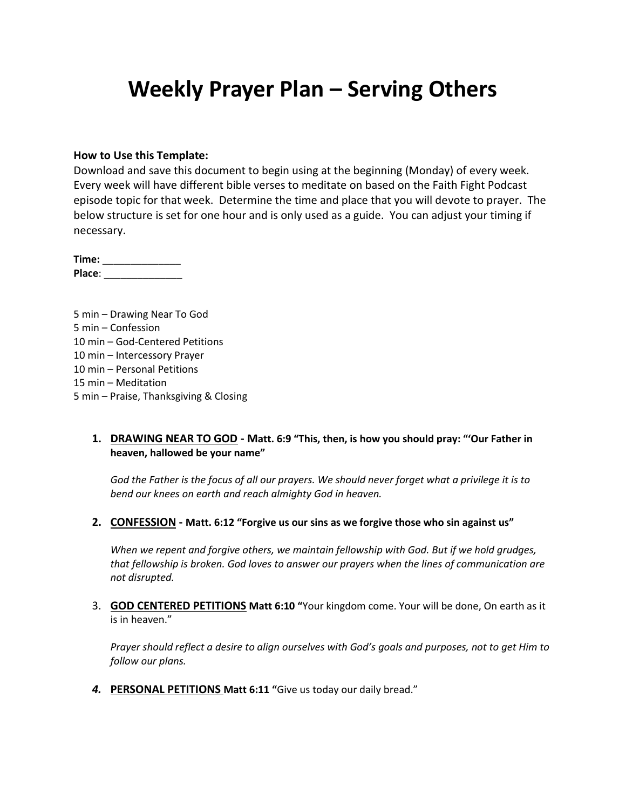# **Weekly Prayer Plan – Serving Others**

#### **How to Use this Template:**

Download and save this document to begin using at the beginning (Monday) of every week. Every week will have different bible verses to meditate on based on the Faith Fight Podcast episode topic for that week. Determine the time and place that you will devote to prayer. The below structure is set for one hour and is only used as a guide. You can adjust your timing if necessary.

**Time:** \_\_\_\_\_\_\_\_\_\_\_\_\_\_ **Place**: \_\_\_\_\_\_\_\_\_\_\_\_\_\_

5 min – Drawing Near To God 5 min – Confession 10 min – God-Centered Petitions 10 min – Intercessory Prayer 10 min – Personal Petitions 15 min – Meditation 5 min – Praise, Thanksgiving & Closing

### **1. DRAWING NEAR TO GOD - Matt. 6:9 "This, then, is how you should pray: "'Our Father in heaven, hallowed be your name"**

*God the Father is the focus of all our prayers. We should never forget what a privilege it is to bend our knees on earth and reach almighty God in heaven.*

**2. CONFESSION - Matt. 6:12 "Forgive us our sins as we forgive those who sin against us"**

*When we repent and forgive others, we maintain fellowship with God. But if we hold grudges, that fellowship is broken. God loves to answer our prayers when the lines of communication are not disrupted.*

3. **GOD CENTERED PETITIONS Matt 6:10 "**Your kingdom come. Your will be done, On earth as it is in heaven."

*Prayer should reflect a desire to align ourselves with God's goals and purposes, not to get Him to follow our plans.*

*4.* **PERSONAL PETITIONS Matt 6:11 "**Give us today our daily bread."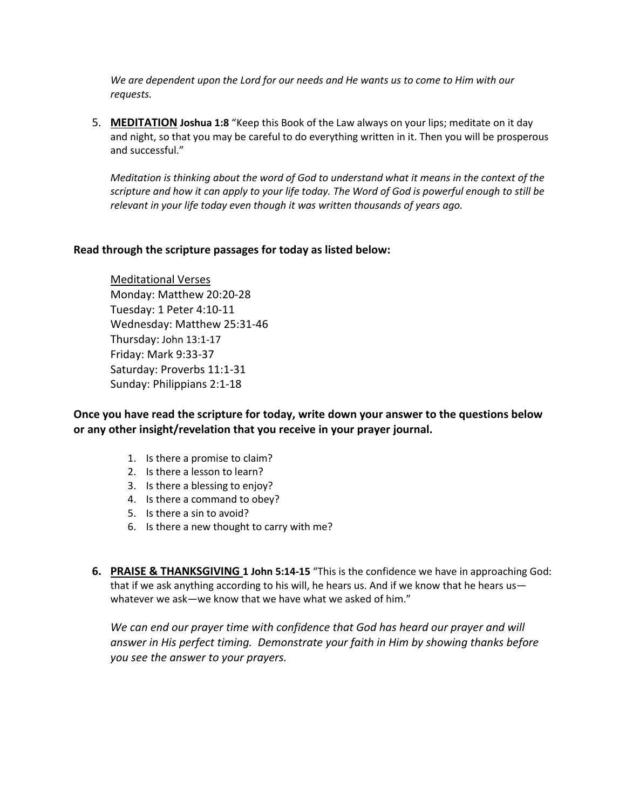*We are dependent upon the Lord for our needs and He wants us to come to Him with our requests.*

5. **MEDITATION Joshua 1:8** "Keep this Book of the Law always on your lips; meditate on it day and night, so that you may be careful to do everything written in it. Then you will be prosperous and successful."

*Meditation is thinking about the word of God to understand what it means in the context of the scripture and how it can apply to your life today. The Word of God is powerful enough to still be relevant in your life today even though it was written thousands of years ago.*

### **Read through the scripture passages for today as listed below:**

Meditational Verses Monday: Matthew 20:20-28 Tuesday: 1 Peter 4:10-11 Wednesday: Matthew 25:31-46 Thursday: John 13:1-17 Friday: Mark 9:33-37 Saturday: Proverbs 11:1-31 Sunday: Philippians 2:1-18

**Once you have read the scripture for today, write down your answer to the questions below or any other insight/revelation that you receive in your prayer journal.** 

- 1. Is there a promise to claim?
- 2. Is there a lesson to learn?
- 3. Is there a blessing to enjoy?
- 4. Is there a command to obey?
- 5. Is there a sin to avoid?
- 6. Is there a new thought to carry with me?
- **6. PRAISE & THANKSGIVING 1 John 5:14-15** "This is the confidence we have in approaching God: that if we ask anything according to his will, he hears us. And if we know that he hears us whatever we ask—we know that we have what we asked of him."

*We can end our prayer time with confidence that God has heard our prayer and will answer in His perfect timing. Demonstrate your faith in Him by showing thanks before you see the answer to your prayers.*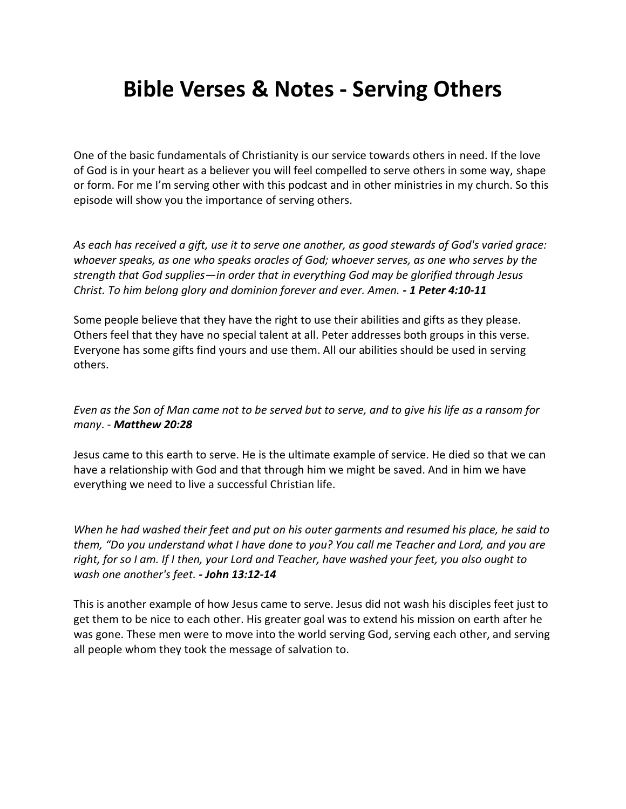# **Bible Verses & Notes - Serving Others**

One of the basic fundamentals of Christianity is our service towards others in need. If the love of God is in your heart as a believer you will feel compelled to serve others in some way, shape or form. For me I'm serving other with this podcast and in other ministries in my church. So this episode will show you the importance of serving others.

*As each has received a gift, use it to serve one another, as good stewards of God's varied grace: whoever speaks, as one who speaks oracles of God; whoever serves, as one who serves by the strength that God supplies—in order that in everything God may be glorified through Jesus Christ. To him belong glory and dominion forever and ever. Amen. - 1 Peter 4:10-11*

Some people believe that they have the right to use their abilities and gifts as they please. Others feel that they have no special talent at all. Peter addresses both groups in this verse. Everyone has some gifts find yours and use them. All our abilities should be used in serving others.

*Even as the Son of Man came not to be served but to serve, and to give his life as a ransom for many*. - *Matthew 20:28*

Jesus came to this earth to serve. He is the ultimate example of service. He died so that we can have a relationship with God and that through him we might be saved. And in him we have everything we need to live a successful Christian life.

*When he had washed their feet and put on his outer garments and resumed his place, he said to them, "Do you understand what I have done to you? You call me Teacher and Lord, and you are right, for so I am. If I then, your Lord and Teacher, have washed your feet, you also ought to wash one another's feet. - John 13:12-14*

This is another example of how Jesus came to serve. Jesus did not wash his disciples feet just to get them to be nice to each other. His greater goal was to extend his mission on earth after he was gone. These men were to move into the world serving God, serving each other, and serving all people whom they took the message of salvation to.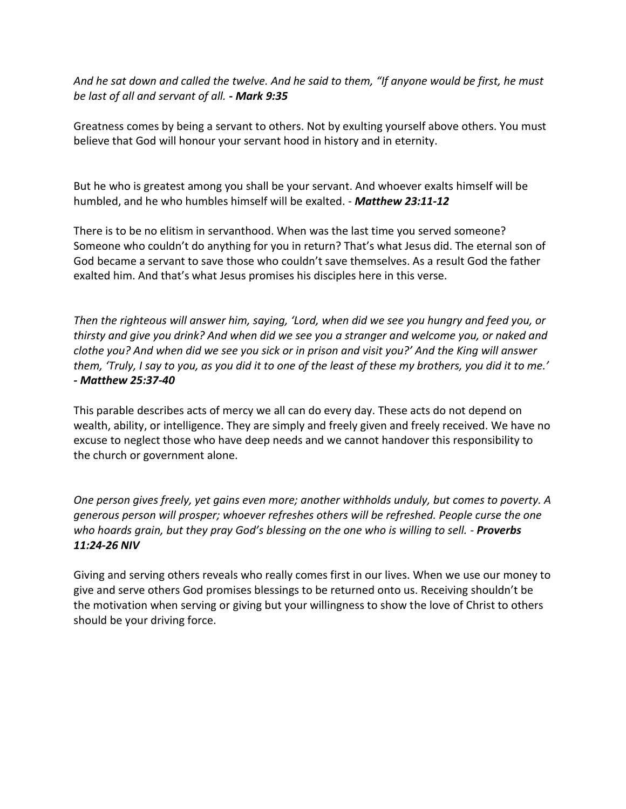*And he sat down and called the twelve. And he said to them, "If anyone would be first, he must be last of all and servant of all. - Mark 9:35*

Greatness comes by being a servant to others. Not by exulting yourself above others. You must believe that God will honour your servant hood in history and in eternity.

But he who is greatest among you shall be your servant. And whoever exalts himself will be humbled, and he who humbles himself will be exalted. - *Matthew 23:11-12*

There is to be no elitism in servanthood. When was the last time you served someone? Someone who couldn't do anything for you in return? That's what Jesus did. The eternal son of God became a servant to save those who couldn't save themselves. As a result God the father exalted him. And that's what Jesus promises his disciples here in this verse.

*Then the righteous will answer him, saying, 'Lord, when did we see you hungry and feed you, or thirsty and give you drink? And when did we see you a stranger and welcome you, or naked and clothe you? And when did we see you sick or in prison and visit you?' And the King will answer them, 'Truly, I say to you, as you did it to one of the least of these my brothers, you did it to me.' - Matthew 25:37-40*

This parable describes acts of mercy we all can do every day. These acts do not depend on wealth, ability, or intelligence. They are simply and freely given and freely received. We have no excuse to neglect those who have deep needs and we cannot handover this responsibility to the church or government alone.

*One person gives freely, yet gains even more; another withholds unduly, but comes to poverty. A generous person will prosper; whoever refreshes others will be refreshed. People curse the one who hoards grain, but they pray God's blessing on the one who is willing to sell. - Proverbs 11:24-26 NIV*

Giving and serving others reveals who really comes first in our lives. When we use our money to give and serve others God promises blessings to be returned onto us. Receiving shouldn't be the motivation when serving or giving but your willingness to show the love of Christ to others should be your driving force.